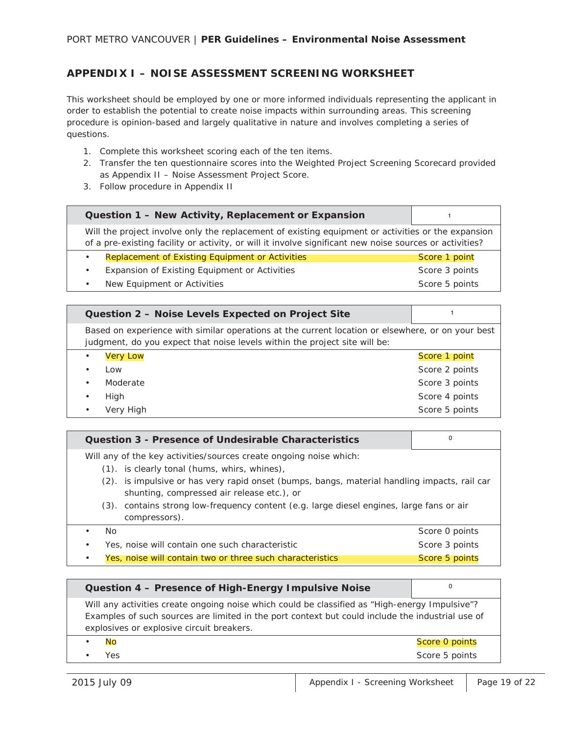## **APPENDIX I – NOISE ASSESSMENT SCREENING WORKSHEET**

This worksheet should be employed by one or more informed individuals representing the applicant in order to establish the potential to create noise impacts within surrounding areas. This screening procedure is opinion-based and largely qualitative in nature and involves completing a series of questions.

- 1. Complete this worksheet scoring each of the ten items.
- 2. Transfer the ten questionnaire scores into the Weighted Project Screening Scorecard provided as Appendix II – Noise Assessment Project Score.
- 3. Follow procedure in Appendix II

| Question 1 - New Activity, Replacement or Expansion                                                                                                                                                           |                |
|---------------------------------------------------------------------------------------------------------------------------------------------------------------------------------------------------------------|----------------|
| Will the project involve only the replacement of existing equipment or activities or the expansion<br>of a pre-existing facility or activity, or will it involve significant new noise sources or activities? |                |
| Replacement of Existing Equipment or Activities<br>$\bullet$                                                                                                                                                  | Score 1 point  |
| Expansion of Existing Equipment or Activities<br>$\bullet$                                                                                                                                                    | Score 3 points |
| New Equipment or Activities                                                                                                                                                                                   | Score 5 points |

| Question 2 - Noise Levels Expected on Project Site                                                                                                                              |                |
|---------------------------------------------------------------------------------------------------------------------------------------------------------------------------------|----------------|
| Based on experience with similar operations at the current location or elsewhere, or on your best<br>judgment, do you expect that noise levels within the project site will be: |                |
| <b>Very Low</b><br>$\bullet$                                                                                                                                                    | Score 1 point  |
| Low<br>$\bullet$                                                                                                                                                                | Score 2 points |
| Moderate<br>$\bullet$                                                                                                                                                           | Score 3 points |
| High<br>$\bullet$                                                                                                                                                               | Score 4 points |
| Very High<br>$\bullet$                                                                                                                                                          | Score 5 points |

| Question 3 - Presence of Undesirable Characteristics                                                                                       | 0              |
|--------------------------------------------------------------------------------------------------------------------------------------------|----------------|
| Will any of the key activities/sources create ongoing noise which:                                                                         |                |
| (1). is clearly tonal (hums, whirs, whines),                                                                                               |                |
| (2). is impulsive or has very rapid onset (bumps, bangs, material handling impacts, rail car<br>shunting, compressed air release etc.), or |                |
| (3). contains strong low-frequency content (e.g. large diesel engines, large fans or air<br>compressors).                                  |                |
| No.                                                                                                                                        | Score 0 points |
| Yes, noise will contain one such characteristic                                                                                            | Score 3 points |
| Yes, noise will contain two or three such characteristics                                                                                  | Score 5 points |

| Question 4 - Presence of High-Energy Impulsive Noise                                                                                                                                                                                            |                |
|-------------------------------------------------------------------------------------------------------------------------------------------------------------------------------------------------------------------------------------------------|----------------|
| Will any activities create ongoing noise which could be classified as "High-energy Impulsive"?<br>Examples of such sources are limited in the port context but could include the industrial use of<br>explosives or explosive circuit breakers. |                |
| No                                                                                                                                                                                                                                              | Score 0 points |
| Yes                                                                                                                                                                                                                                             | Score 5 points |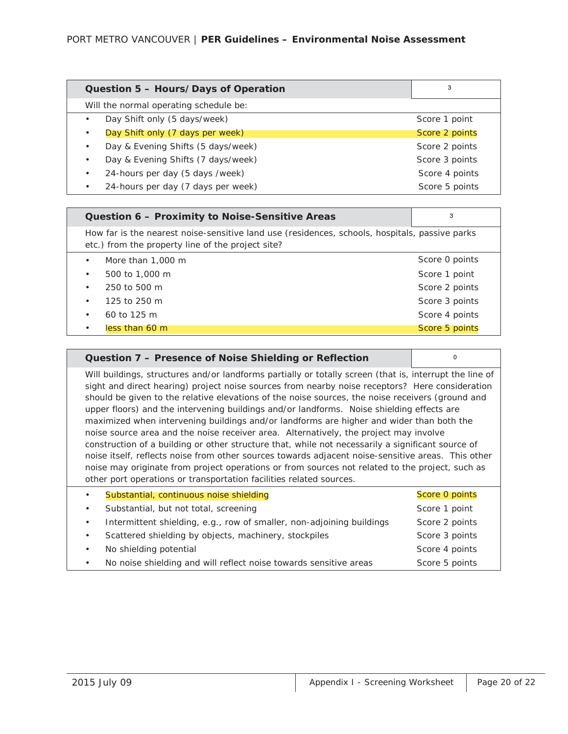| Question 5 - Hours/Days of Operation   | 3              |
|----------------------------------------|----------------|
| Will the normal operating schedule be: |                |
| Day Shift only (5 days/week)           | Score 1 point  |
| Day Shift only (7 days per week)       | Score 2 points |
| Day & Evening Shifts (5 days/week)     | Score 2 points |
| Day & Evening Shifts (7 days/week)     | Score 3 points |
| 24-hours per day (5 days /week)        | Score 4 points |
| 24-hours per day (7 days per week)     | Score 5 points |

| Question 6 - Proximity to Noise-Sensitive Areas                                                                                                     | 3              |
|-----------------------------------------------------------------------------------------------------------------------------------------------------|----------------|
| How far is the nearest noise-sensitive land use (residences, schools, hospitals, passive parks<br>etc.) from the property line of the project site? |                |
| More than 1,000 m<br>$\bullet$                                                                                                                      | Score 0 points |
| 500 to 1,000 m<br>$\bullet$                                                                                                                         | Score 1 point  |
| 250 to 500 m<br>$\bullet$                                                                                                                           | Score 2 points |
| 125 to 250 m<br>$\bullet$                                                                                                                           | Score 3 points |
| 60 to 125 m<br>$\bullet$                                                                                                                            | Score 4 points |
| less than 60 m<br>$\bullet$                                                                                                                         | Score 5 points |

| Question 7 - Presence of Noise Shielding or Reflection                                                                                                                                                                                                                                                                                                                                                                                                                                                                                                                                                                                                                                                                                                                                                                                                                                                                                                                                | $\Omega$       |
|---------------------------------------------------------------------------------------------------------------------------------------------------------------------------------------------------------------------------------------------------------------------------------------------------------------------------------------------------------------------------------------------------------------------------------------------------------------------------------------------------------------------------------------------------------------------------------------------------------------------------------------------------------------------------------------------------------------------------------------------------------------------------------------------------------------------------------------------------------------------------------------------------------------------------------------------------------------------------------------|----------------|
| Will buildings, structures and/or landforms partially or totally screen (that is, interrupt the line of<br>sight and direct hearing) project noise sources from nearby noise receptors? Here consideration<br>should be given to the relative elevations of the noise sources, the noise receivers (ground and<br>upper floors) and the intervening buildings and/or landforms. Noise shielding effects are<br>maximized when intervening buildings and/or landforms are higher and wider than both the<br>noise source area and the noise receiver area. Alternatively, the project may involve<br>construction of a building or other structure that, while not necessarily a significant source of<br>noise itself, reflects noise from other sources towards adjacent noise-sensitive areas. This other<br>noise may originate from project operations or from sources not related to the project, such as<br>other port operations or transportation facilities related sources. |                |
| Substantial, continuous noise shielding                                                                                                                                                                                                                                                                                                                                                                                                                                                                                                                                                                                                                                                                                                                                                                                                                                                                                                                                               | Score 0 points |
| Substantial, but not total, screening<br>$\bullet$                                                                                                                                                                                                                                                                                                                                                                                                                                                                                                                                                                                                                                                                                                                                                                                                                                                                                                                                    | Score 1 point  |
| Intermittent shielding, e.g., row of smaller, non-adjoining buildings<br>$\bullet$                                                                                                                                                                                                                                                                                                                                                                                                                                                                                                                                                                                                                                                                                                                                                                                                                                                                                                    | Score 2 points |
| Scattered shielding by objects, machinery, stockpiles<br>$\bullet$                                                                                                                                                                                                                                                                                                                                                                                                                                                                                                                                                                                                                                                                                                                                                                                                                                                                                                                    | Score 3 points |
| No shielding potential<br>٠                                                                                                                                                                                                                                                                                                                                                                                                                                                                                                                                                                                                                                                                                                                                                                                                                                                                                                                                                           | Score 4 points |
| No noise shielding and will reflect noise towards sensitive areas                                                                                                                                                                                                                                                                                                                                                                                                                                                                                                                                                                                                                                                                                                                                                                                                                                                                                                                     | Score 5 points |